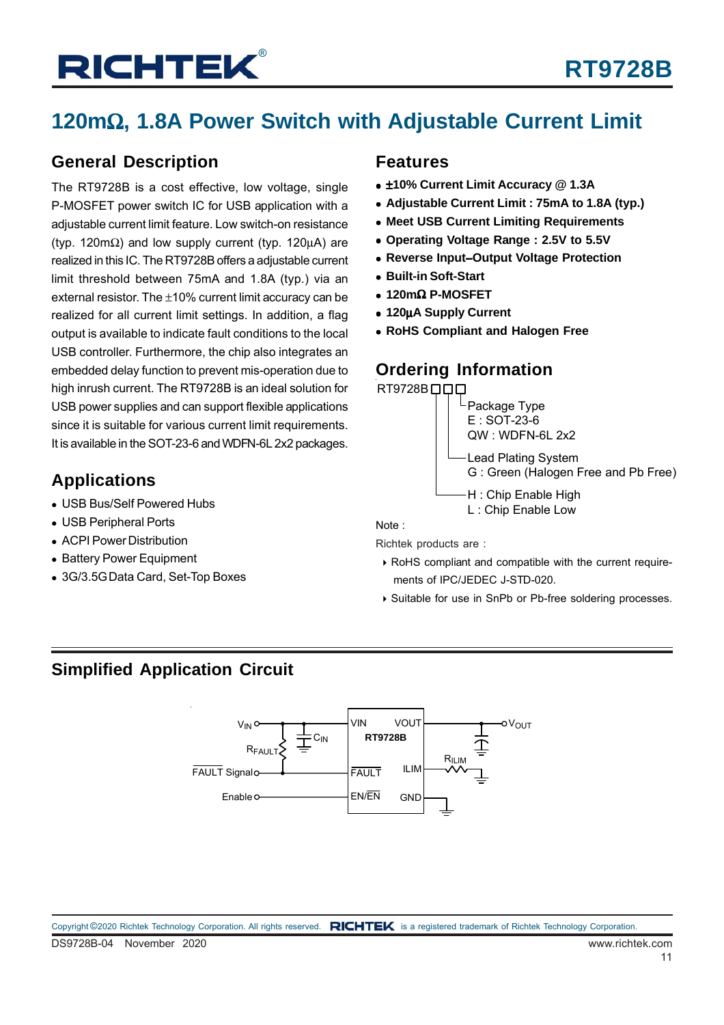# **120m**Ω**, 1.8A Power Switch with Adjustable Current Limit**

### **General Description**

The RT9728B is a cost effective, low voltage, single P-MOSFET power switch IC for USB application with a adjustable current limit feature. Low switch-on resistance (typ. 120m $\Omega$ ) and low supply current (typ. 120uA) are realized in this IC. The RT9728B offers a adjustable current limit threshold between 75mA and 1.8A (typ.) via an external resistor. The ±10% current limit accuracy can be realized for all current limit settings. In addition, a flag output is available to indicate fault conditions to the local USB controller. Furthermore, the chip also integrates an embedded delay function to prevent mis-operation due to high inrush current. The RT9728B is an ideal solution for USB power supplies and can support flexible applications since it is suitable for various current limit requirements. It is available in the SOT-23-6 and WDFN-6L 2x2 packages.

### **Applications**

- USB Bus/Self Powered Hubs
- USB Peripheral Ports
- ACPI Power Distribution
- Battery Power Equipment
- 3G/3.5G Data Card, Set-Top Boxes

#### **Features**

- ±**10% Current Limit Accuracy @ 1.3A**
- **Adjustable Current Limit : 75mA to 1.8A (typ.)**
- **Meet USB Current Limiting Requirements**
- **Operating Voltage Range : 2.5V to 5.5V**
- **Reverse Input**−**Output Voltage Protection**
- **Built-in Soft-Start**
- **120m**Ω **P-MOSFET**
- **120**μ**A Supply Current**
- **RoHS Compliant and Halogen Free**

### **Ordering Information**





L : Chip Enable Low

Note :

Richtek products are :

- RoHS compliant and compatible with the current require ments of IPC/JEDEC J-STD-020.
- ▶ Suitable for use in SnPb or Pb-free soldering processes.

### **Simplified Application Circuit**

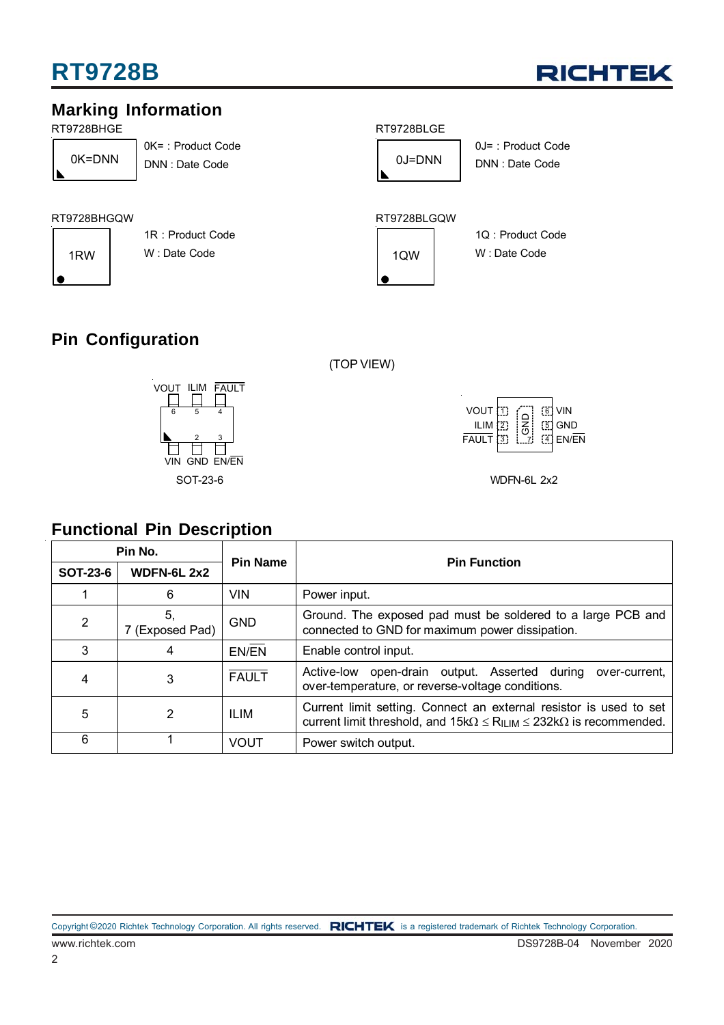

### **Marking Information**

RT9728BHGE

|   | 0K=DNN |  |
|---|--------|--|
| ◣ |        |  |

0K= : Product Code DNN : Date Code 0K=DNN 0J=DNN



0J= : Product Code DNN : Date Code

#### RT9728BLGQW



RT9728BHGQW

1R : Product Code 1RW W: Date Code 1QW

### **Pin Configuration**



#### (TOP VIEW)

| VOUT [1]<br>ILIM $[2]$<br>$\overline{FAUL}$ T $\overline{3}$ | $\leq$ | <b>F61 VIN</b><br>$[5]$ GND<br>$3$ EN/EN |
|--------------------------------------------------------------|--------|------------------------------------------|
|                                                              |        |                                          |

#### **Pin No. Pin Name Pin Function SOT-23-6 WDFN-6L 2x2**  1 | 6 | VIN | Power input. 2  $\begin{array}{|l|} 5, \\ 7 \text{ (Exposed Pad)} \end{array}$ GND Ground. The exposed pad must be soldered to a large PCB and connected to GND for maximum power dissipation. 3 | 4 | EN/EN | Enable control input. 4 3 FAULT Active-low open-drain output. Asserted during over-current, over-temperature, or reverse-voltage conditions. 5 2 ILIM Current limit setting. Connect an external resistor is used to set current limit threshold, and  $15k\Omega \le R_{ILIM} \le 232k\Omega$  is recommended. 6 | 1 VOUT Power switch output. **Functional Pin Description**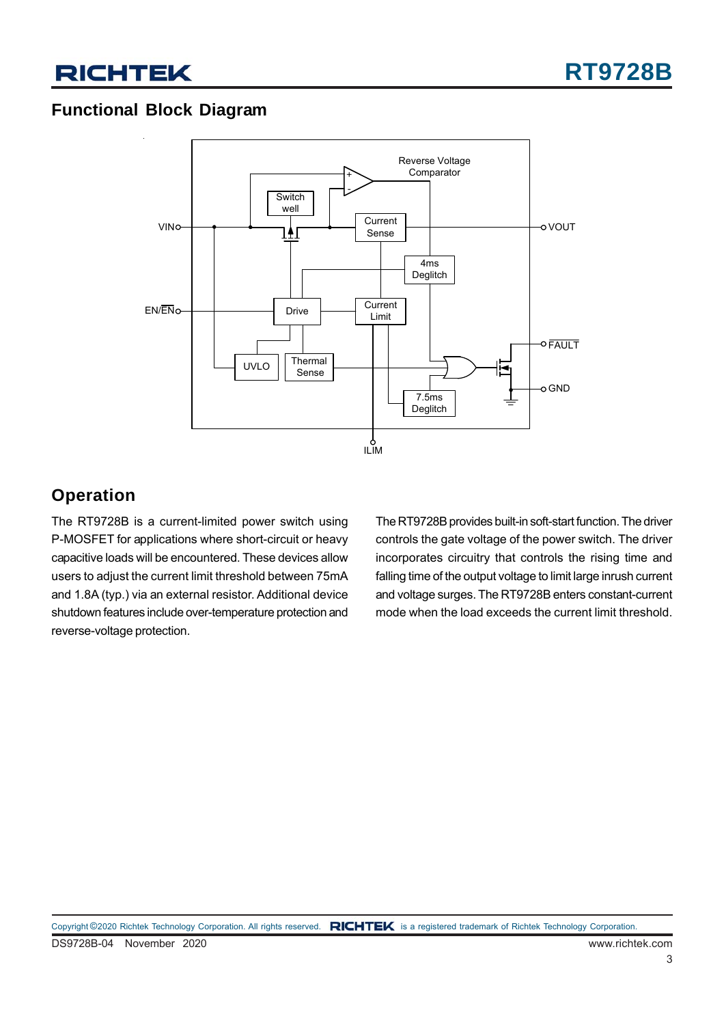### **Functional Block Diagram**



### **Operation**

The RT9728B is a current-limited power switch using P-MOSFET for applications where short-circuit or heavy capacitive loads will be encountered. These devices allow users to adjust the current limit threshold between 75mA and 1.8A (typ.) via an external resistor. Additional device shutdown features include over-temperature protection and reverse-voltage protection.

The RT9728B provides built-in soft-start function. The driver controls the gate voltage of the power switch. The driver incorporates circuitry that controls the rising time and falling time of the output voltage to limit large inrush current and voltage surges. The RT9728B enters constant-current mode when the load exceeds the current limit threshold.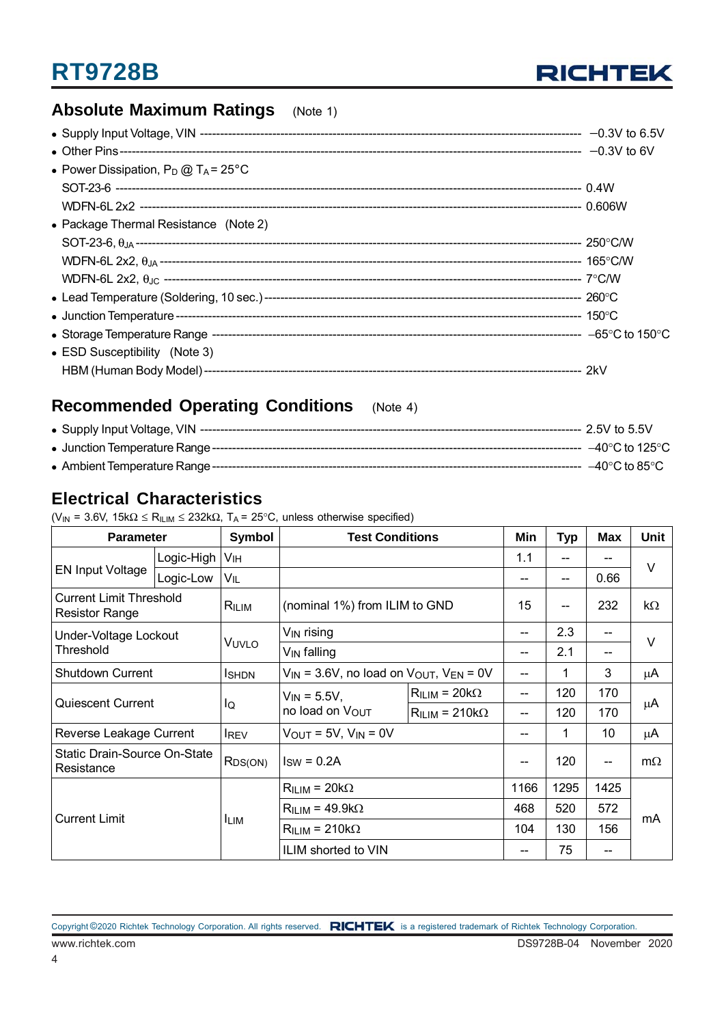

### **Absolute Maximum Ratings** (Note 1)

| • Power Dissipation, $P_D @ T_A = 25^{\circ}C$ |  |
|------------------------------------------------|--|
|                                                |  |
|                                                |  |
| • Package Thermal Resistance (Note 2)          |  |
|                                                |  |
|                                                |  |
|                                                |  |
|                                                |  |
|                                                |  |
|                                                |  |
| • ESD Susceptibility (Note 3)                  |  |
|                                                |  |

### **Recommended Operating Conditions** (Note 4)

|  | ---- –40°C to 85°C |
|--|--------------------|

### **Electrical Characteristics**

|  | $(V_{IN} = 3.6V, 15k\Omega \le R_{ILIM} \le 232k\Omega, T_A = 25^{\circ}C,$ unless otherwise specified) |  |  |  |
|--|---------------------------------------------------------------------------------------------------------|--|--|--|
|  |                                                                                                         |  |  |  |

| <b>Parameter</b>                                        |            | Symbol        | <b>Test Conditions</b>                                |                 | Min  | <b>Typ</b> | <b>Max</b> | Unit      |  |
|---------------------------------------------------------|------------|---------------|-------------------------------------------------------|-----------------|------|------------|------------|-----------|--|
|                                                         | Logic-High | Vıн           |                                                       |                 | 1.1  |            |            | V         |  |
| <b>EN Input Voltage</b>                                 | Logic-Low  | VIL           |                                                       |                 |      | --         | 0.66       |           |  |
| <b>Current Limit Threshold</b><br><b>Resistor Range</b> |            | RILIM         | (nominal 1%) from ILIM to GND                         |                 | 15   | --         | 232        | kΩ        |  |
| Under-Voltage Lockout                                   |            |               | $V_{\mathsf{IN}}$ rising                              |                 | --   | 2.3        |            |           |  |
| Threshold                                               |            | VUVLO         | $V_{IN}$ falling                                      |                 | --   | 2.1        |            | V         |  |
| <b>Shutdown Current</b>                                 |            | <b>I</b> SHDN | $V_{IN}$ = 3.6V, no load on $V_{OUT}$ , $V_{EN}$ = 0V |                 | --   | 1          | 3          | μ $A$     |  |
| <b>Quiescent Current</b>                                |            | lQ            | $V_{IN} = 5.5V,$<br>no load on VOUT                   | $RILIM = 20kΩ$  | --   | 120        | 170        |           |  |
|                                                         |            |               |                                                       | $RILIM = 210kΩ$ | --   | 120        | 170        | μA        |  |
| Reverse Leakage Current                                 |            | <b>IREV</b>   | $V_{OUT}$ = 5V, $V_{IN}$ = 0V                         |                 | --   | 1          | 10         | μA        |  |
| Static Drain-Source On-State<br>Resistance              |            | $R_{DS(ON)}$  | $I_{SW} = 0.2A$                                       |                 |      | 120        |            | $m\Omega$ |  |
| <b>Current Limit</b>                                    |            |               | $R_{ILIM}$ = 20k $\Omega$                             |                 | 1166 | 1295       | 1425       |           |  |
|                                                         |            |               | $RILIM = 49.9kΩ$                                      |                 | 468  | 520        | 572        |           |  |
|                                                         |            | <b>ILIM</b>   | $R_{ILIM}$ = 210k $\Omega$                            |                 | 104  | 130        | 156        | mA        |  |
|                                                         |            |               | ILIM shorted to VIN                                   |                 |      | 75         |            |           |  |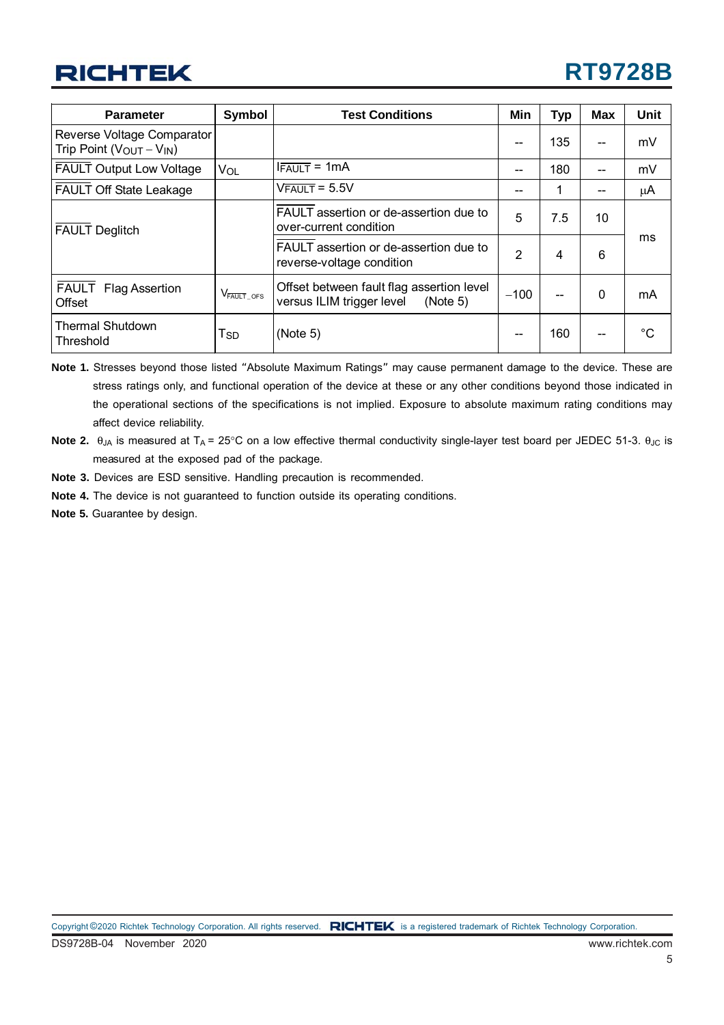# **RT9728B**

| <b>Parameter</b>                                                | <b>Symbol</b>                      | <b>Test Conditions</b>                                                             | Min            | Typ | <b>Max</b> | <b>Unit</b>  |
|-----------------------------------------------------------------|------------------------------------|------------------------------------------------------------------------------------|----------------|-----|------------|--------------|
| Reverse Voltage Comparator<br>Trip Point ( $V_{OUT} - V_{IN}$ ) |                                    |                                                                                    | --             | 135 | --         | mV           |
| <b>FAULT Output Low Voltage</b>                                 | VOL                                | $IFAULT = 1mA$                                                                     | --             | 180 | $- -$      | mV           |
| <b>FAULT Off State Leakage</b>                                  |                                    | $V$ FAULT = 5.5V                                                                   |                | 1   | --         | μA           |
| <b>FAULT Deglitch</b>                                           |                                    | FAULT assertion or de-assertion due to<br>over-current condition                   | 5              | 7.5 | 10         |              |
|                                                                 |                                    | FAULT assertion or de-assertion due to<br>reverse-voltage condition                | $\overline{2}$ | 4   | 6          | ms           |
| <b>FAULT</b><br><b>Flag Assertion</b><br><b>Offset</b>          | $\mathrm{V}_{\mathrm{FAULT\_OFS}}$ | Offset between fault flag assertion level<br>versus ILIM trigger level<br>(Note 5) | $-100$         |     | $\Omega$   | mA           |
| <b>Thermal Shutdown</b><br>Threshold                            | Tsp                                | (Note 5)                                                                           |                | 160 | --         | $^{\circ}$ C |

**Note 1.** Stresses beyond those listed "Absolute Maximum Ratings" may cause permanent damage to the device. These are stress ratings only, and functional operation of the device at these or any other conditions beyond those indicated in the operational sections of the specifications is not implied. Exposure to absolute maximum rating conditions may affect device reliability.

- **Note 2.**  $\theta_{JA}$  is measured at T<sub>A</sub> = 25°C on a low effective thermal conductivity single-layer test board per JEDEC 51-3.  $\theta_{JC}$  is measured at the exposed pad of the package.
- **Note 3.** Devices are ESD sensitive. Handling precaution is recommended.
- **Note 4.** The device is not guaranteed to function outside its operating conditions.
- **Note 5.** Guarantee by design.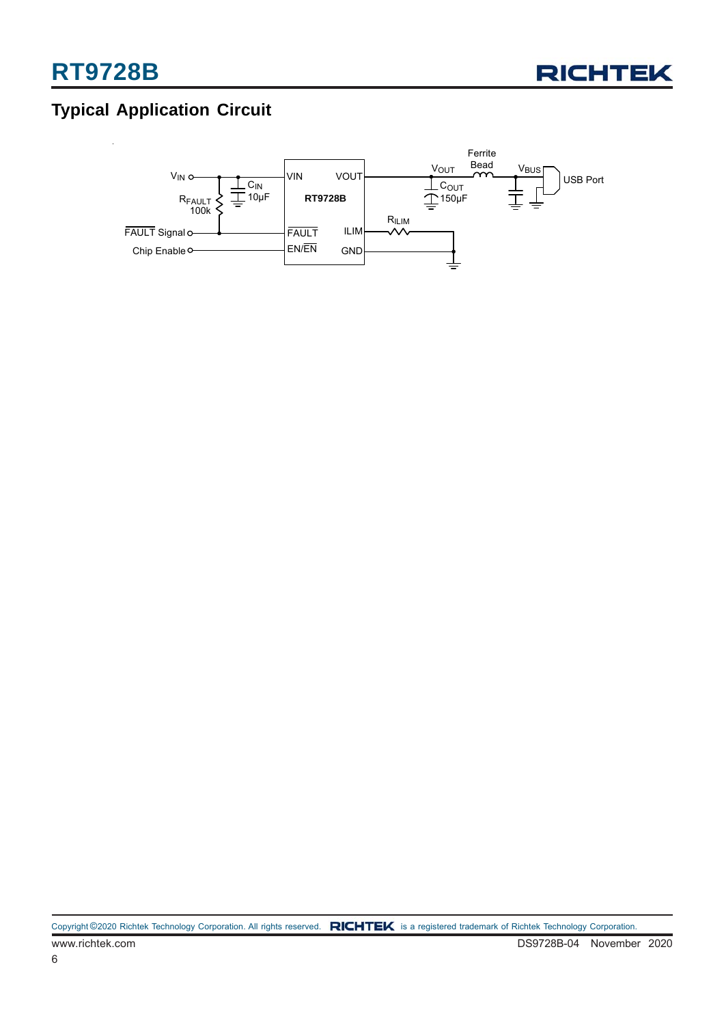

### **Typical Application Circuit**

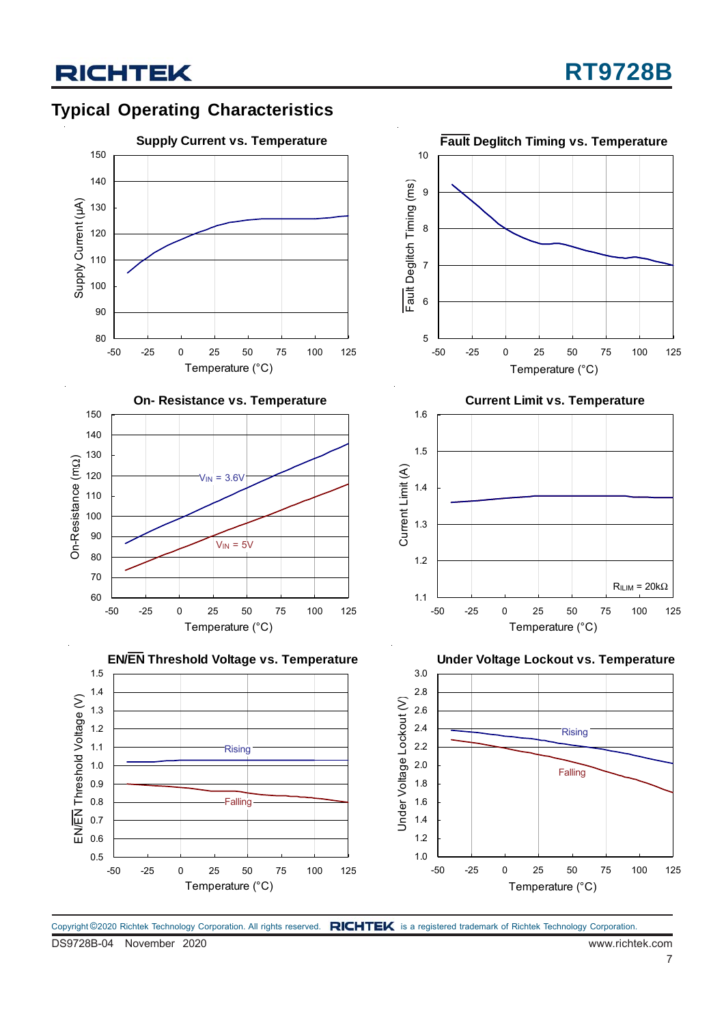### **Typical Operating Characteristics**







-50 -25 0 25 50 75 100 125 Temperature (°C)  $R_{ILIM} = 20k\Omega$ 

**Under Voltage Lockout vs. Temperature** 3.0 2.8 Jnder Voltage Lockout (V) Under Voltage Lockout (V) 2.6 2.4 **Rising** 2.2 2.0 Falling 1.8 1.6 1.4 1.2 1.0 -50 -25 0 25 50 75 100 125 Temperature (°C)

1.1

1.2

Copyright ©2020 Richtek Technology Corporation. All rights reserved. RICHTEK is a registered trademark of Richtek Technology Corporation.

DS9728B-04 November 2020 www.richtek.com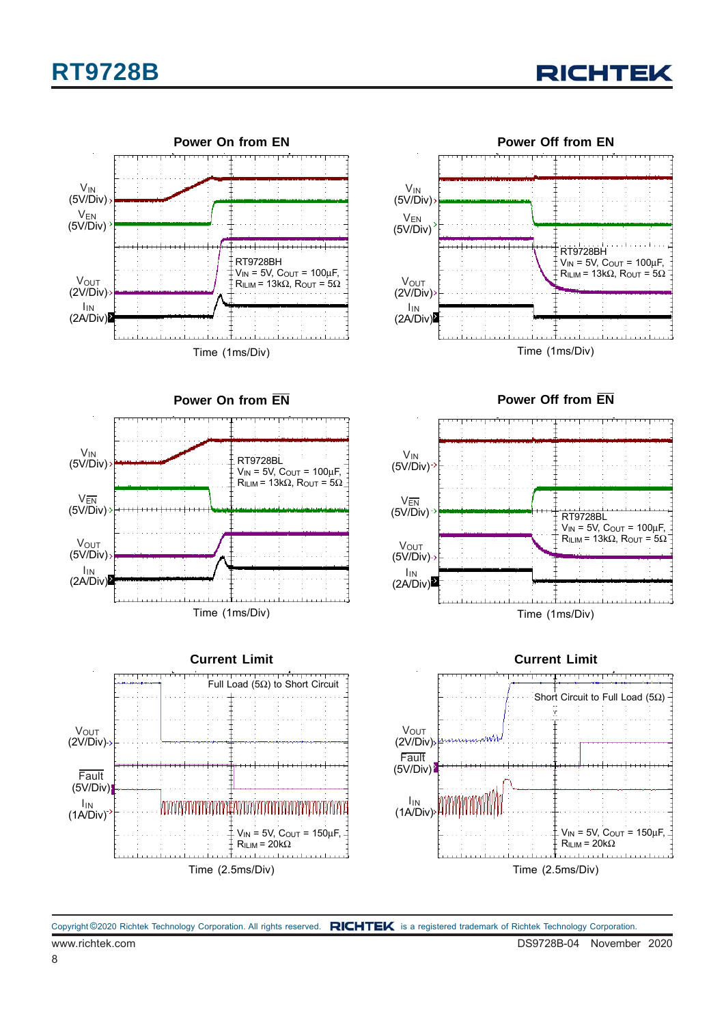



**Power On from EN**











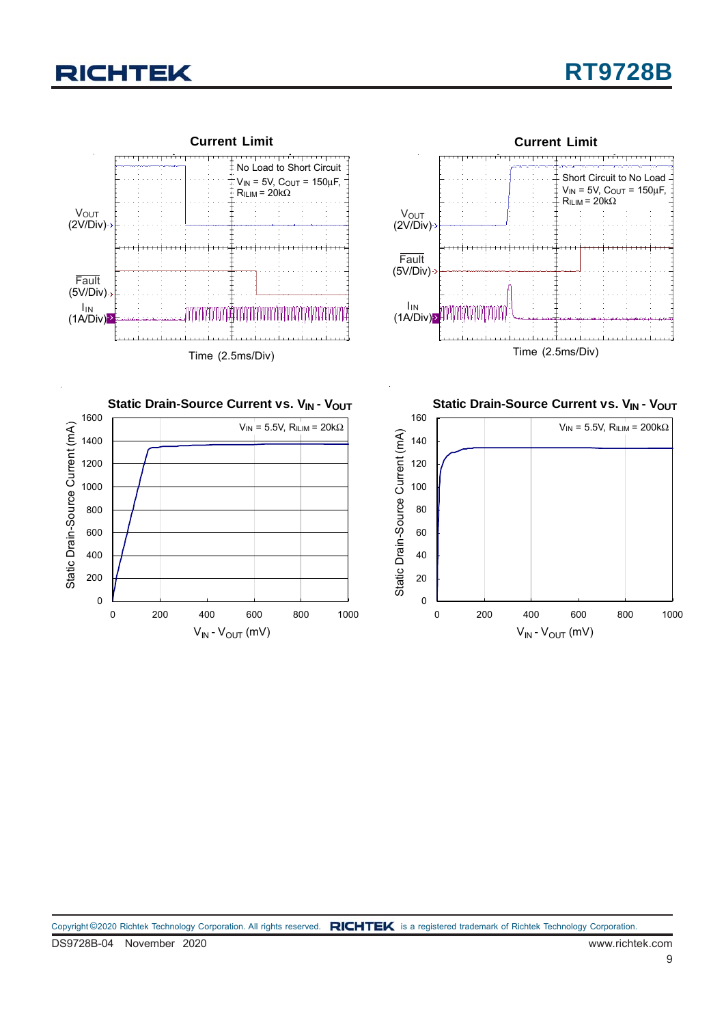



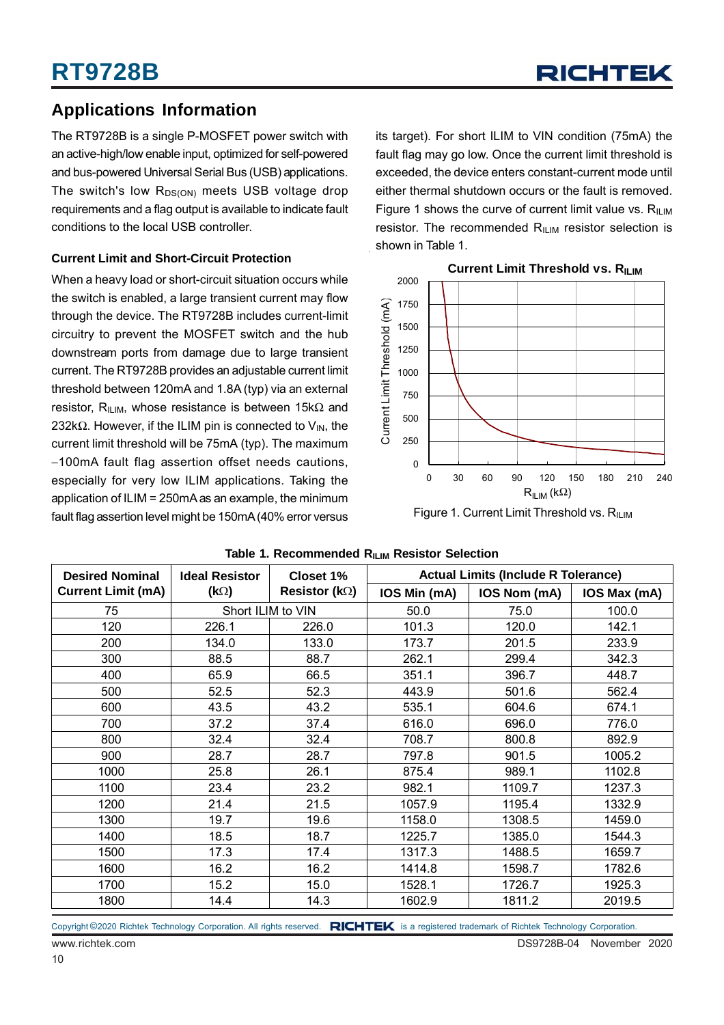### **Applications Information**

The RT9728B is a single P-MOSFET power switch with an active-high/low enable input, optimized for self-powered and bus-powered Universal Serial Bus (USB) applications. The switch's low  $R_{DS(ON)}$  meets USB voltage drop requirements and a flag output is available to indicate fault conditions to the local USB controller.

#### **Current Limit and Short-Circuit Protection**

When a heavy load or short-circuit situation occurs while the switch is enabled, a large transient current may flow through the device. The RT9728B includes current-limit circuitry to prevent the MOSFET switch and the hub downstream ports from damage due to large transient current. The RT9728B provides an adjustable current limit threshold between 120mA and 1.8A (typ) via an external resistor, R<sub>ILIM</sub>, whose resistance is between 15kΩ and 232k $\Omega$ . However, if the ILIM pin is connected to V<sub>IN</sub>, the current limit threshold will be 75mA (typ). The maximum −100mA fault flag assertion offset needs cautions, especially for very low ILIM applications. Taking the application of ILIM = 250mA as an example, the minimum fault flag assertion level might be 150mA (40% error versus Figure 1. Current Limit Threshold vs. R<sub>ILIM</sub>

its target). For short ILIM to VIN condition (75mA) the fault flag may go low. Once the current limit threshold is exceeded, the device enters constant-current mode until either thermal shutdown occurs or the fault is removed. Figure 1 shows the curve of current limit value vs.  $R_{\text{HIM}}$ resistor. The recommended  $R_{ILM}$  resistor selection is shown in Table 1.



| <b>Desired Nominal</b>    | <b>Ideal Resistor</b> | Closet 1%              | <b>Actual Limits (Include R Tolerance)</b> |              |              |  |
|---------------------------|-----------------------|------------------------|--------------------------------------------|--------------|--------------|--|
| <b>Current Limit (mA)</b> | $(k\Omega)$           | Resistor ( $k\Omega$ ) | IOS Min (mA)                               | IOS Nom (mA) | IOS Max (mA) |  |
| 75                        |                       | Short ILIM to VIN      | 50.0                                       | 75.0         | 100.0        |  |
| 120                       | 226.1                 | 226.0                  | 101.3                                      | 120.0        | 142.1        |  |
| 200                       | 134.0                 | 133.0                  | 173.7                                      | 201.5        | 233.9        |  |
| 300                       | 88.5                  | 88.7                   | 262.1                                      | 299.4        | 342.3        |  |
| 400                       | 65.9                  | 66.5                   | 351.1                                      | 396.7        | 448.7        |  |
| 500                       | 52.5                  | 52.3                   | 443.9                                      | 501.6        | 562.4        |  |
| 600                       | 43.5                  | 43.2                   | 535.1                                      | 604.6        | 674.1        |  |
| 700                       | 37.2                  | 37.4                   | 616.0                                      | 696.0        | 776.0        |  |
| 800                       | 32.4                  | 32.4                   | 708.7                                      | 800.8        | 892.9        |  |
| 900                       | 28.7                  | 28.7                   | 797.8                                      | 901.5        | 1005.2       |  |
| 1000                      | 25.8                  | 26.1                   | 875.4                                      | 989.1        | 1102.8       |  |
| 1100                      | 23.4                  | 23.2                   | 982.1                                      | 1109.7       | 1237.3       |  |
| 1200                      | 21.4                  | 21.5                   | 1057.9                                     | 1195.4       | 1332.9       |  |
| 1300                      | 19.7                  | 19.6                   | 1158.0                                     | 1308.5       | 1459.0       |  |
| 1400                      | 18.5                  | 18.7                   | 1225.7                                     | 1385.0       | 1544.3       |  |
| 1500                      | 17.3                  | 17.4                   | 1317.3                                     | 1488.5       | 1659.7       |  |
| 1600                      | 16.2                  | 16.2                   | 1414.8                                     | 1598.7       | 1782.6       |  |
| 1700                      | 15.2                  | 15.0                   | 1528.1                                     | 1726.7       | 1925.3       |  |
| 1800                      | 14.4                  | 14.3                   | 1602.9                                     | 1811.2       | 2019.5       |  |

#### **Table 1. Recommended RILIM Resistor Selection**

Copyright ©2020 Richtek Technology Corporation. All rights reserved. RICHTEK is a registered trademark of Richtek Technology Corporation.

www.richtek.com DS9728B-04 November 2020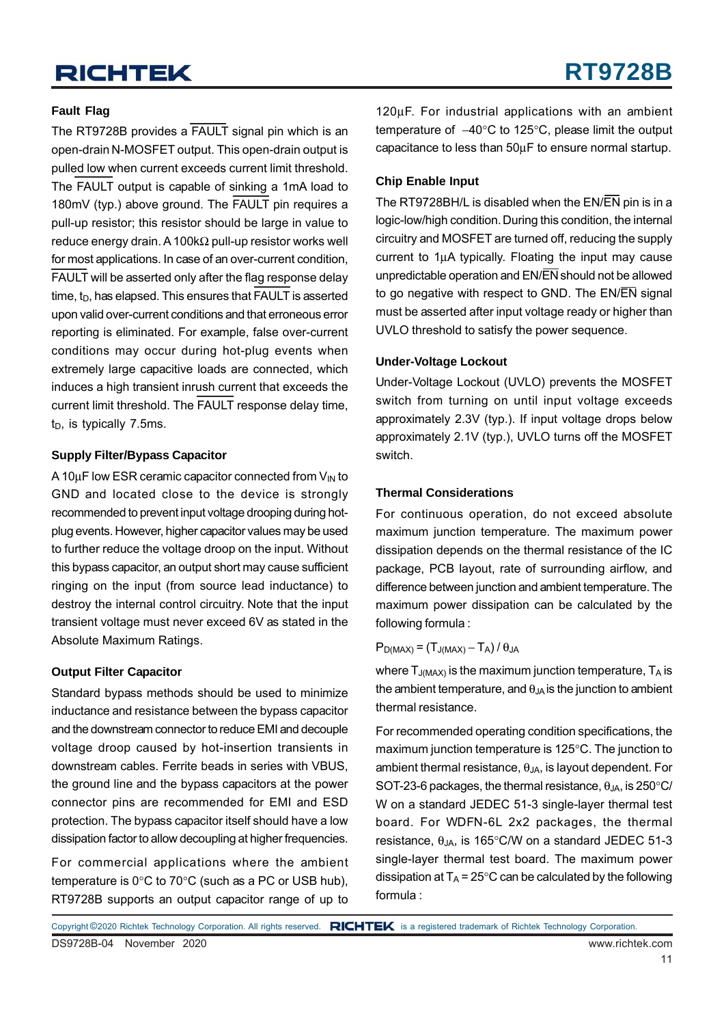#### **Fault Flag**

The RT9728B provides a FAULT signal pin which is an open-drain N-MOSFET output. This open-drain output is pulled low when current exceeds current limit threshold. The FAULT output is capable of sinking a 1mA load to 180mV (typ.) above ground. The FAULT pin requires a pull-up resistor; this resistor should be large in value to reduce energy drain. A 100kΩ pull-up resistor works well for most applications. In case of an over-current condition, FAULT will be asserted only after the flag response delay time,  $t_D$ , has elapsed. This ensures that FAULT is asserted upon valid over-current conditions and that erroneous error reporting is eliminated. For example, false over-current conditions may occur during hot-plug events when extremely large capacitive loads are connected, which induces a high transient inrush current that exceeds the current limit threshold. The FAULT response delay time,  $t_D$ , is typically 7.5ms.

#### **Supply Filter/Bypass Capacitor**

A 10 $\mu$ F low ESR ceramic capacitor connected from  $V_{\text{IN}}$  to GND and located close to the device is strongly recommended to prevent input voltage drooping during hotplug events. However, higher capacitor values may be used to further reduce the voltage droop on the input. Without this bypass capacitor, an output short may cause sufficient ringing on the input (from source lead inductance) to destroy the internal control circuitry. Note that the input transient voltage must never exceed 6V as stated in the Absolute Maximum Ratings.

#### **Output Filter Capacitor**

Standard bypass methods should be used to minimize inductance and resistance between the bypass capacitor and the downstream connector to reduce EMI and decouple voltage droop caused by hot-insertion transients in downstream cables. Ferrite beads in series with VBUS, the ground line and the bypass capacitors at the power connector pins are recommended for EMI and ESD protection. The bypass capacitor itself should have a low dissipation factor to allow decoupling at higher frequencies.

For commercial applications where the ambient temperature is 0°C to 70°C (such as a PC or USB hub), RT9728B supports an output capacitor range of up to

120μF. For industrial applications with an ambient temperature of −40°C to 125°C, please limit the output capacitance to less than 50μF to ensure normal startup.

#### **Chip Enable Input**

The RT9728BH/L is disabled when the EN/EN pin is in a logic-low/high condition. During this condition, the internal circuitry and MOSFET are turned off, reducing the supply current to 1μA typically. Floating the input may cause unpredictable operation and EN/EN should not be allowed to go negative with respect to GND. The EN/EN signal must be asserted after input voltage ready or higher than UVLO threshold to satisfy the power sequence.

#### **Under-Voltage Lockout**

Under-Voltage Lockout (UVLO) prevents the MOSFET switch from turning on until input voltage exceeds approximately 2.3V (typ.). If input voltage drops below approximately 2.1V (typ.), UVLO turns off the MOSFET switch.

#### **Thermal Considerations**

For continuous operation, do not exceed absolute maximum junction temperature. The maximum power dissipation depends on the thermal resistance of the IC package, PCB layout, rate of surrounding airflow, and difference between junction and ambient temperature. The maximum power dissipation can be calculated by the following formula :

 $P_{D(MAX)} = (T_{J(MAX)} - T_A)/\theta_{JA}$ 

where  $T_{J(MAX)}$  is the maximum junction temperature,  $T_A$  is the ambient temperature, and  $\theta_{JA}$  is the junction to ambient thermal resistance.

For recommended operating condition specifications, the maximum junction temperature is 125°C. The junction to ambient thermal resistance,  $\theta_{JA}$ , is layout dependent. For SOT-23-6 packages, the thermal resistance,  $\theta_{JA}$ , is 250 $\degree$ C/ W on a standard JEDEC 51-3 single-layer thermal test board. For WDFN-6L 2x2 packages, the thermal resistance,  $θ_{JA}$ , is 165°C/W on a standard JEDEC 51-3 single-layer thermal test board. The maximum power dissipation at  $T_A = 25^{\circ}$ C can be calculated by the following formula :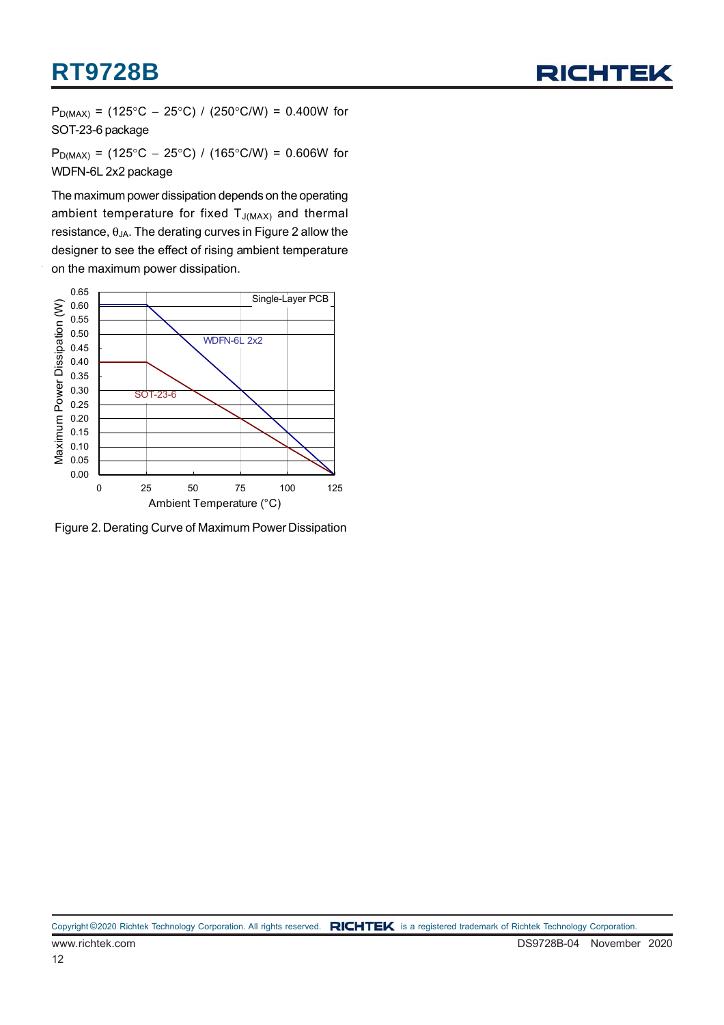

 $P_{D(MAX)}$  = (125°C − 25°C) / (250°C/W) = 0.400W for SOT-23-6 package

 $P_{D(MAX)}$  = (125°C − 25°C) / (165°C/W) = 0.606W for WDFN-6L 2x2 package

The maximum power dissipation depends on the operating ambient temperature for fixed  $T_{J(MAX)}$  and thermal resistance,  $θ_{JA}$ . The derating curves in Figure 2 allow the designer to see the effect of rising ambient temperature on the maximum power dissipation.



Figure 2. Derating Curve of Maximum Power Dissipation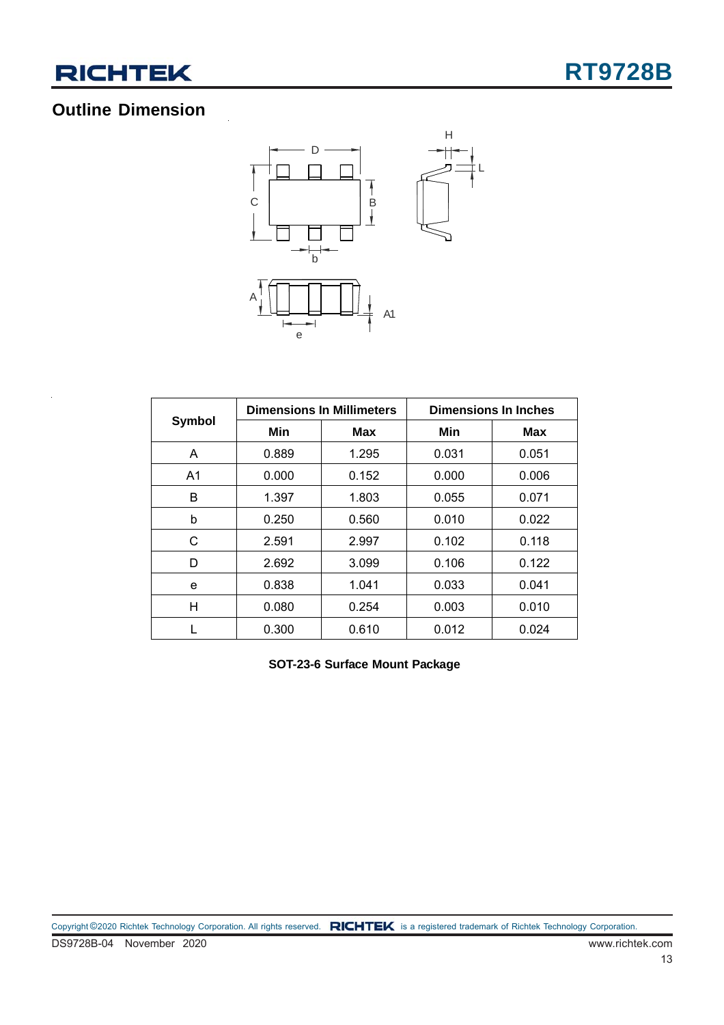

### **Outline Dimension**



|        |       | <b>Dimensions In Millimeters</b> | <b>Dimensions In Inches</b> |       |  |
|--------|-------|----------------------------------|-----------------------------|-------|--|
| Symbol | Min   | Max                              | Min                         | Max   |  |
| A      | 0.889 | 1.295                            | 0.031                       | 0.051 |  |
| A1     | 0.000 | 0.152                            | 0.000                       | 0.006 |  |
| B      | 1.397 | 1.803                            | 0.055                       | 0.071 |  |
| b      | 0.250 | 0.560                            | 0.010                       | 0.022 |  |
| C      | 2.591 | 2.997                            | 0.102                       | 0.118 |  |
| D      | 2.692 | 3.099                            | 0.106                       | 0.122 |  |
| e      | 0.838 | 1.041                            | 0.033                       | 0.041 |  |
| н      | 0.080 | 0.254                            | 0.003                       | 0.010 |  |
|        | 0.300 | 0.610                            | 0.012                       | 0.024 |  |

**SOT-23-6 Surface Mount Package**